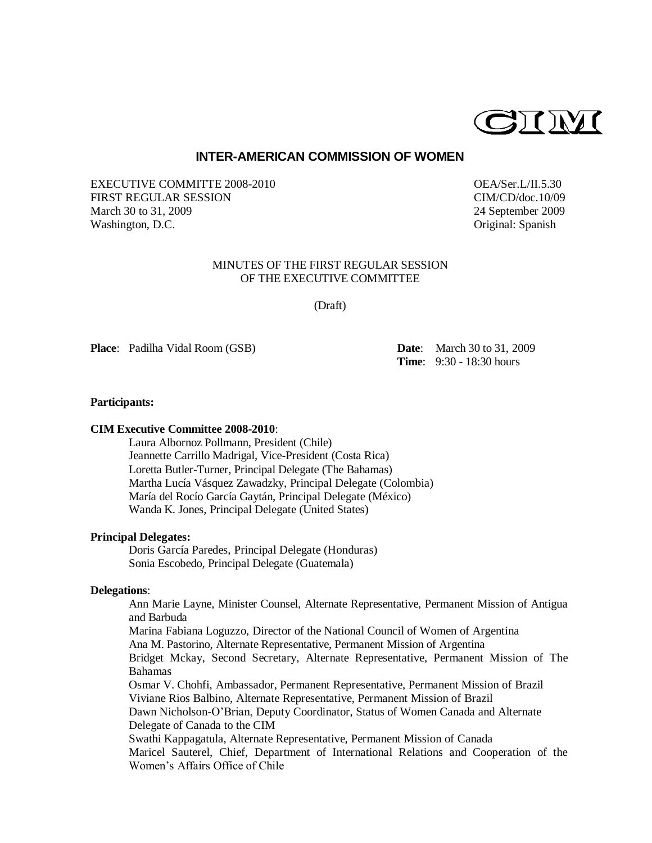

## **INTER-AMERICAN COMMISSION OF WOMEN**

EXECUTIVE COMMITTE 2008-2010 OEA/Ser.L/II.5.30 FIRST REGULAR SESSION CIM/CD/doc.10/09 March 30 to 31, 2009 24 September 2009 Washington, D.C. **Original:** Spanish

# MINUTES OF THE FIRST REGULAR SESSION OF THE EXECUTIVE COMMITTEE

(Draft)

**Place**: Padilha Vidal Room (GSB) **Date**: March 30 to 31, 2009

**Time**: 9:30 - 18:30 hours

### **Participants:**

## **CIM Executive Committee 2008-2010**:

Laura Albornoz Pollmann, President (Chile) Jeannette Carrillo Madrigal, Vice-President (Costa Rica) Loretta Butler-Turner, Principal Delegate (The Bahamas) Martha Lucía Vásquez Zawadzky, Principal Delegate (Colombia) María del Rocío García Gaytán, Principal Delegate (México) Wanda K. Jones, Principal Delegate (United States)

### **Principal Delegates:**

Doris García Paredes, Principal Delegate (Honduras) Sonia Escobedo, Principal Delegate (Guatemala)

# **Delegations**:

Ann Marie Layne, Minister Counsel, Alternate Representative, Permanent Mission of Antigua and Barbuda Marina Fabiana Loguzzo, Director of the National Council of Women of Argentina Ana M. Pastorino, Alternate Representative, Permanent Mission of Argentina Bridget Mckay, Second Secretary, Alternate Representative, Permanent Mission of The Bahamas Osmar V. Chohfi, Ambassador, Permanent Representative, Permanent Mission of Brazil Viviane Rios Balbino, Alternate Representative, Permanent Mission of Brazil Dawn Nicholson-O'Brian, Deputy Coordinator, Status of Women Canada and Alternate Delegate of Canada to the CIM Swathi Kappagatula, Alternate Representative, Permanent Mission of Canada Maricel Sauterel, Chief, Department of International Relations and Cooperation of the Women's Affairs Office of Chile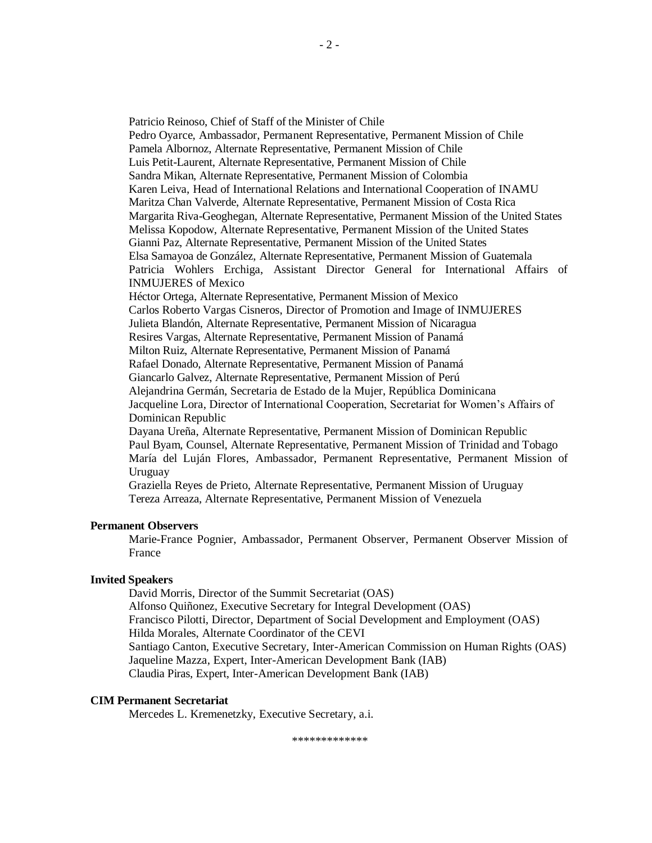Patricio Reinoso, Chief of Staff of the Minister of Chile Pedro Oyarce, Ambassador, Permanent Representative, Permanent Mission of Chile Pamela Albornoz, Alternate Representative, Permanent Mission of Chile Luis Petit-Laurent, Alternate Representative, Permanent Mission of Chile Sandra Mikan, Alternate Representative, Permanent Mission of Colombia Karen Leiva, Head of International Relations and International Cooperation of INAMU Maritza Chan Valverde, Alternate Representative, Permanent Mission of Costa Rica Margarita Riva-Geoghegan, Alternate Representative, Permanent Mission of the United States Melissa Kopodow, Alternate Representative, Permanent Mission of the United States Gianni Paz, Alternate Representative, Permanent Mission of the United States Elsa Samayoa de González, Alternate Representative, Permanent Mission of Guatemala Patricia Wohlers Erchiga, Assistant Director General for International Affairs of INMUJERES of Mexico Héctor Ortega, Alternate Representative, Permanent Mission of Mexico Carlos Roberto Vargas Cisneros, Director of Promotion and Image of INMUJERES Julieta Blandón, Alternate Representative, Permanent Mission of Nicaragua Resires Vargas, Alternate Representative, Permanent Mission of Panamá Milton Ruiz, Alternate Representative, Permanent Mission of Panamá Rafael Donado, Alternate Representative, Permanent Mission of Panamá Giancarlo Galvez, Alternate Representative, Permanent Mission of Perú Alejandrina Germán, Secretaria de Estado de la Mujer, República Dominicana Jacqueline Lora, Director of International Cooperation, Secretariat for Women's Affairs of Dominican Republic Dayana Ureña, Alternate Representative, Permanent Mission of Dominican Republic Paul Byam, Counsel, Alternate Representative, Permanent Mission of Trinidad and Tobago María del Luján Flores, Ambassador, Permanent Representative, Permanent Mission of Uruguay Graziella Reyes de Prieto, Alternate Representative, Permanent Mission of Uruguay Tereza Arreaza, Alternate Representative, Permanent Mission of Venezuela

## **Permanent Observers**

Marie-France Pognier, Ambassador, Permanent Observer, Permanent Observer Mission of France

## **Invited Speakers**

David Morris, Director of the Summit Secretariat (OAS) Alfonso Quiñonez, Executive Secretary for Integral Development (OAS) Francisco Pilotti, Director, Department of Social Development and Employment (OAS) Hilda Morales, Alternate Coordinator of the CEVI Santiago Canton, Executive Secretary, Inter-American Commission on Human Rights (OAS) Jaqueline Mazza, Expert, Inter-American Development Bank (IAB) Claudia Piras, Expert, Inter-American Development Bank (IAB)

## **CIM Permanent Secretariat**

Mercedes L. Kremenetzky, Executive Secretary, a.i.

\*\*\*\*\*\*\*\*\*\*\*\*\*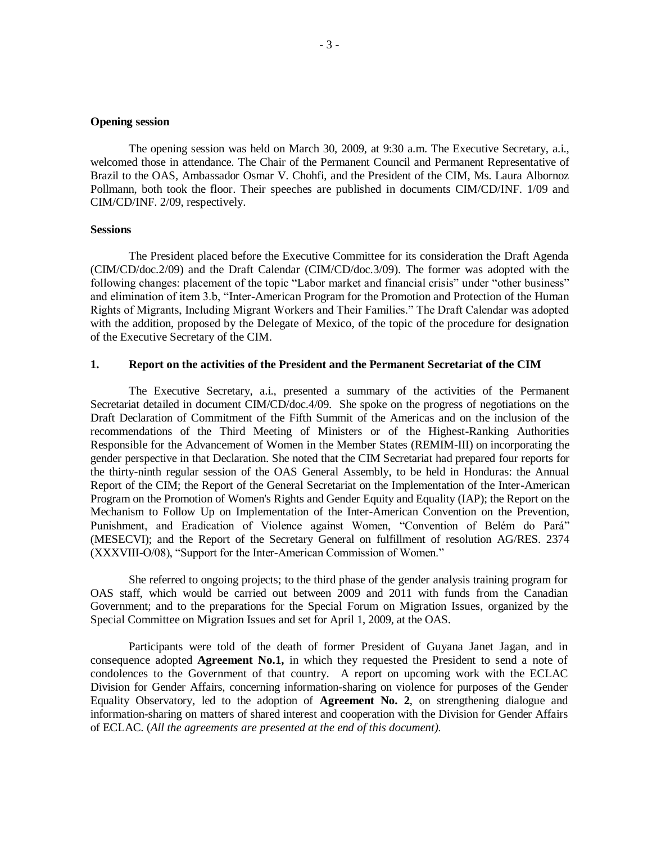#### **Opening session**

The opening session was held on March 30, 2009, at 9:30 a.m. The Executive Secretary, a.i., welcomed those in attendance. The Chair of the Permanent Council and Permanent Representative of Brazil to the OAS, Ambassador Osmar V. Chohfi, and the President of the CIM, Ms. Laura Albornoz Pollmann, both took the floor. Their speeches are published in documents CIM/CD/INF. 1/09 and CIM/CD/INF. 2/09, respectively.

### **Sessions**

The President placed before the Executive Committee for its consideration the Draft Agenda (CIM/CD/doc.2/09) and the Draft Calendar (CIM/CD/doc.3/09). The former was adopted with the following changes: placement of the topic "Labor market and financial crisis" under "other business" and elimination of item 3.b, "Inter-American Program for the Promotion and Protection of the Human Rights of Migrants, Including Migrant Workers and Their Families." The Draft Calendar was adopted with the addition, proposed by the Delegate of Mexico, of the topic of the procedure for designation of the Executive Secretary of the CIM.

## **1. Report on the activities of the President and the Permanent Secretariat of the CIM**

The Executive Secretary, a.i., presented a summary of the activities of the Permanent Secretariat detailed in document CIM/CD/doc.4/09. She spoke on the progress of negotiations on the Draft Declaration of Commitment of the Fifth Summit of the Americas and on the inclusion of the recommendations of the Third Meeting of Ministers or of the Highest-Ranking Authorities Responsible for the Advancement of Women in the Member States (REMIM-III) on incorporating the gender perspective in that Declaration. She noted that the CIM Secretariat had prepared four reports for the thirty-ninth regular session of the OAS General Assembly, to be held in Honduras: the Annual Report of the CIM; the Report of the General Secretariat on the Implementation of the Inter-American Program on the Promotion of Women's Rights and Gender Equity and Equality (IAP); the Report on the Mechanism to Follow Up on Implementation of the Inter-American Convention on the Prevention, Punishment, and Eradication of Violence against Women, "Convention of Belém do Pará" (MESECVI); and the Report of the Secretary General on fulfillment of resolution AG/RES. 2374 (XXXVIII-O/08), "Support for the Inter-American Commission of Women."

She referred to ongoing projects; to the third phase of the gender analysis training program for OAS staff, which would be carried out between 2009 and 2011 with funds from the Canadian Government; and to the preparations for the Special Forum on Migration Issues, organized by the Special Committee on Migration Issues and set for April 1, 2009, at the OAS.

Participants were told of the death of former President of Guyana Janet Jagan, and in consequence adopted **Agreement No.1,** in which they requested the President to send a note of condolences to the Government of that country. A report on upcoming work with the ECLAC Division for Gender Affairs, concerning information-sharing on violence for purposes of the Gender Equality Observatory, led to the adoption of **Agreement No. 2**, on strengthening dialogue and information-sharing on matters of shared interest and cooperation with the Division for Gender Affairs of ECLAC. (*All the agreements are presented at the end of this document).*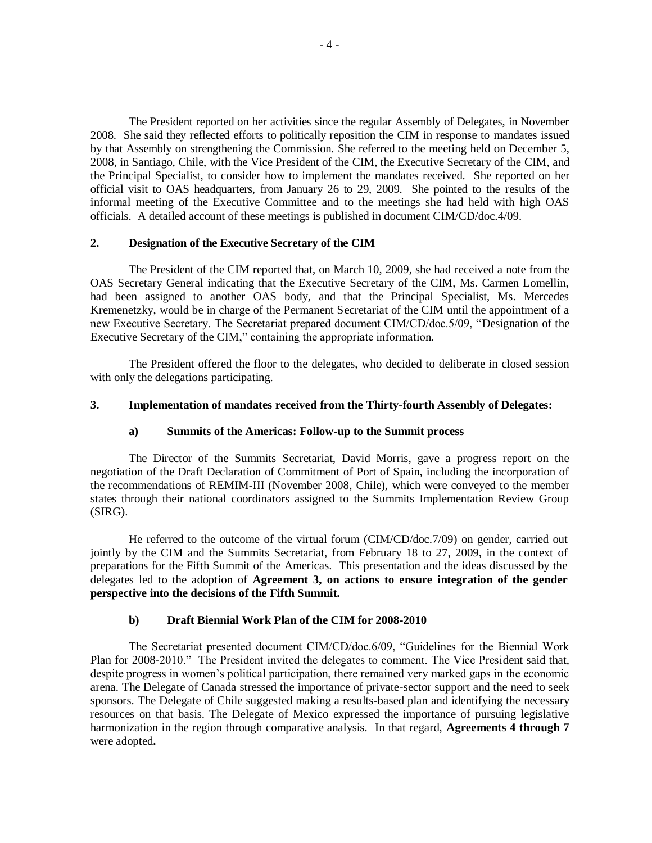The President reported on her activities since the regular Assembly of Delegates, in November 2008. She said they reflected efforts to politically reposition the CIM in response to mandates issued by that Assembly on strengthening the Commission. She referred to the meeting held on December 5, 2008, in Santiago, Chile, with the Vice President of the CIM, the Executive Secretary of the CIM, and the Principal Specialist, to consider how to implement the mandates received. She reported on her official visit to OAS headquarters, from January 26 to 29, 2009. She pointed to the results of the informal meeting of the Executive Committee and to the meetings she had held with high OAS officials. A detailed account of these meetings is published in document CIM/CD/doc.4/09.

## **2. Designation of the Executive Secretary of the CIM**

The President of the CIM reported that, on March 10, 2009, she had received a note from the OAS Secretary General indicating that the Executive Secretary of the CIM, Ms. Carmen Lomellin, had been assigned to another OAS body, and that the Principal Specialist, Ms. Mercedes Kremenetzky, would be in charge of the Permanent Secretariat of the CIM until the appointment of a new Executive Secretary. The Secretariat prepared document CIM/CD/doc.5/09, "Designation of the Executive Secretary of the CIM," containing the appropriate information.

The President offered the floor to the delegates, who decided to deliberate in closed session with only the delegations participating.

# **3. Implementation of mandates received from the Thirty-fourth Assembly of Delegates:**

## **a) Summits of the Americas: Follow-up to the Summit process**

The Director of the Summits Secretariat, David Morris, gave a progress report on the negotiation of the Draft Declaration of Commitment of Port of Spain, including the incorporation of the recommendations of REMIM-III (November 2008, Chile), which were conveyed to the member states through their national coordinators assigned to the Summits Implementation Review Group (SIRG).

He referred to the outcome of the virtual forum (CIM/CD/doc.7/09) on gender, carried out jointly by the CIM and the Summits Secretariat, from February 18 to 27, 2009, in the context of preparations for the Fifth Summit of the Americas. This presentation and the ideas discussed by the delegates led to the adoption of **Agreement 3, on actions to ensure integration of the gender perspective into the decisions of the Fifth Summit.** 

# **b) Draft Biennial Work Plan of the CIM for 2008-2010**

The Secretariat presented document CIM/CD/doc.6/09, "Guidelines for the Biennial Work Plan for 2008-2010." The President invited the delegates to comment. The Vice President said that, despite progress in women's political participation, there remained very marked gaps in the economic arena. The Delegate of Canada stressed the importance of private-sector support and the need to seek sponsors. The Delegate of Chile suggested making a results-based plan and identifying the necessary resources on that basis. The Delegate of Mexico expressed the importance of pursuing legislative harmonization in the region through comparative analysis. In that regard, **Agreements 4 through 7** were adopted**.**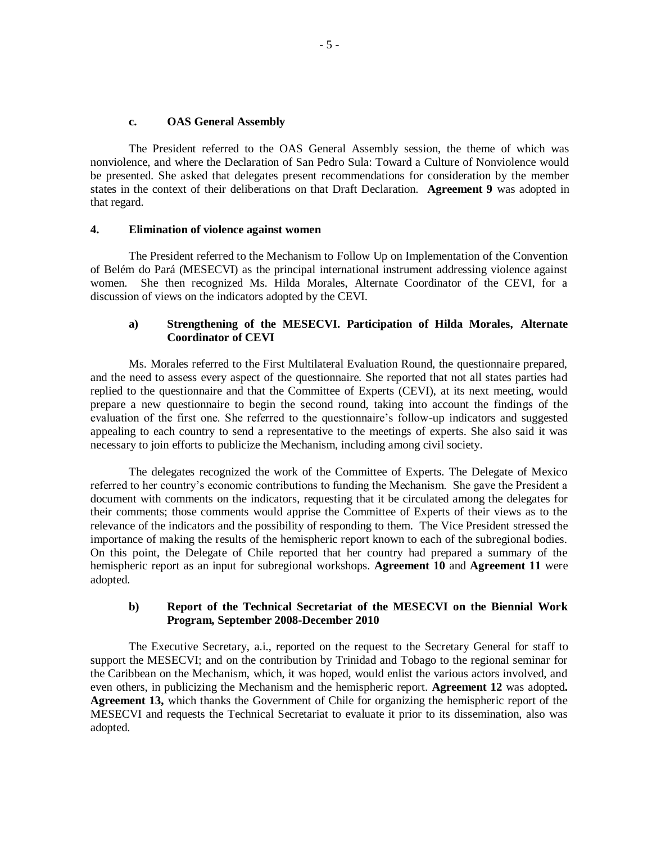### **c. OAS General Assembly**

The President referred to the OAS General Assembly session, the theme of which was nonviolence, and where the Declaration of San Pedro Sula: Toward a Culture of Nonviolence would be presented. She asked that delegates present recommendations for consideration by the member states in the context of their deliberations on that Draft Declaration. **Agreement 9** was adopted in that regard.

## **4. Elimination of violence against women**

The President referred to the Mechanism to Follow Up on Implementation of the Convention of Belém do Pará (MESECVI) as the principal international instrument addressing violence against women. She then recognized Ms. Hilda Morales, Alternate Coordinator of the CEVI, for a discussion of views on the indicators adopted by the CEVI.

# **a) Strengthening of the MESECVI. Participation of Hilda Morales, Alternate Coordinator of CEVI**

Ms. Morales referred to the First Multilateral Evaluation Round, the questionnaire prepared, and the need to assess every aspect of the questionnaire. She reported that not all states parties had replied to the questionnaire and that the Committee of Experts (CEVI), at its next meeting, would prepare a new questionnaire to begin the second round, taking into account the findings of the evaluation of the first one. She referred to the questionnaire's follow-up indicators and suggested appealing to each country to send a representative to the meetings of experts. She also said it was necessary to join efforts to publicize the Mechanism, including among civil society.

The delegates recognized the work of the Committee of Experts. The Delegate of Mexico referred to her country's economic contributions to funding the Mechanism. She gave the President a document with comments on the indicators, requesting that it be circulated among the delegates for their comments; those comments would apprise the Committee of Experts of their views as to the relevance of the indicators and the possibility of responding to them. The Vice President stressed the importance of making the results of the hemispheric report known to each of the subregional bodies. On this point, the Delegate of Chile reported that her country had prepared a summary of the hemispheric report as an input for subregional workshops. **Agreement 10** and **Agreement 11** were adopted.

# **b) Report of the Technical Secretariat of the MESECVI on the Biennial Work Program, September 2008-December 2010**

The Executive Secretary, a.i., reported on the request to the Secretary General for staff to support the MESECVI; and on the contribution by Trinidad and Tobago to the regional seminar for the Caribbean on the Mechanism, which, it was hoped, would enlist the various actors involved, and even others, in publicizing the Mechanism and the hemispheric report. **Agreement 12** was adopted**. Agreement 13,** which thanks the Government of Chile for organizing the hemispheric report of the MESECVI and requests the Technical Secretariat to evaluate it prior to its dissemination, also was adopted.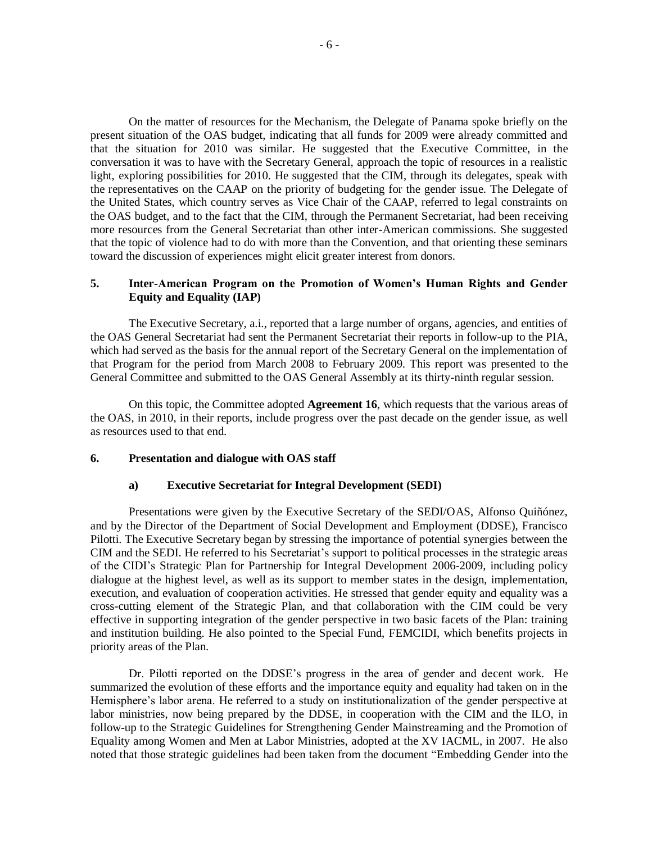On the matter of resources for the Mechanism, the Delegate of Panama spoke briefly on the present situation of the OAS budget, indicating that all funds for 2009 were already committed and that the situation for 2010 was similar. He suggested that the Executive Committee, in the conversation it was to have with the Secretary General, approach the topic of resources in a realistic light, exploring possibilities for 2010. He suggested that the CIM, through its delegates, speak with the representatives on the CAAP on the priority of budgeting for the gender issue. The Delegate of the United States, which country serves as Vice Chair of the CAAP, referred to legal constraints on the OAS budget, and to the fact that the CIM, through the Permanent Secretariat, had been receiving more resources from the General Secretariat than other inter-American commissions. She suggested that the topic of violence had to do with more than the Convention, and that orienting these seminars toward the discussion of experiences might elicit greater interest from donors.

## **5. Inter-American Program on the Promotion of Women's Human Rights and Gender Equity and Equality (IAP)**

The Executive Secretary, a.i., reported that a large number of organs, agencies, and entities of the OAS General Secretariat had sent the Permanent Secretariat their reports in follow-up to the PIA, which had served as the basis for the annual report of the Secretary General on the implementation of that Program for the period from March 2008 to February 2009. This report was presented to the General Committee and submitted to the OAS General Assembly at its thirty-ninth regular session.

On this topic, the Committee adopted **Agreement 16**, which requests that the various areas of the OAS, in 2010, in their reports, include progress over the past decade on the gender issue, as well as resources used to that end.

### **6. Presentation and dialogue with OAS staff**

#### **a) Executive Secretariat for Integral Development (SEDI)**

Presentations were given by the Executive Secretary of the SEDI/OAS, Alfonso Quiñónez, and by the Director of the Department of Social Development and Employment (DDSE), Francisco Pilotti. The Executive Secretary began by stressing the importance of potential synergies between the CIM and the SEDI. He referred to his Secretariat's support to political processes in the strategic areas of the CIDI's Strategic Plan for Partnership for Integral Development 2006-2009, including policy dialogue at the highest level, as well as its support to member states in the design, implementation, execution, and evaluation of cooperation activities. He stressed that gender equity and equality was a cross-cutting element of the Strategic Plan, and that collaboration with the CIM could be very effective in supporting integration of the gender perspective in two basic facets of the Plan: training and institution building. He also pointed to the Special Fund, FEMCIDI, which benefits projects in priority areas of the Plan.

Dr. Pilotti reported on the DDSE's progress in the area of gender and decent work. He summarized the evolution of these efforts and the importance equity and equality had taken on in the Hemisphere's labor arena. He referred to a study on institutionalization of the gender perspective at labor ministries, now being prepared by the DDSE, in cooperation with the CIM and the ILO, in follow-up to the Strategic Guidelines for Strengthening Gender Mainstreaming and the Promotion of Equality among Women and Men at Labor Ministries, adopted at the XV IACML, in 2007. He also noted that those strategic guidelines had been taken from the document "Embedding Gender into the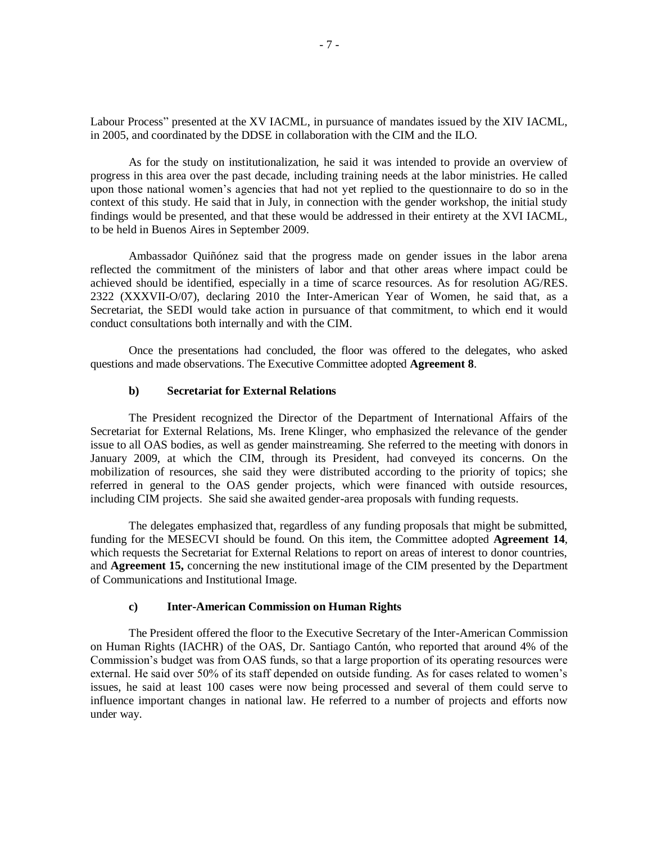Labour Process" presented at the XV IACML, in pursuance of mandates issued by the XIV IACML, in 2005, and coordinated by the DDSE in collaboration with the CIM and the ILO.

As for the study on institutionalization, he said it was intended to provide an overview of progress in this area over the past decade, including training needs at the labor ministries. He called upon those national women's agencies that had not yet replied to the questionnaire to do so in the context of this study. He said that in July, in connection with the gender workshop, the initial study findings would be presented, and that these would be addressed in their entirety at the XVI IACML, to be held in Buenos Aires in September 2009.

Ambassador Quiñónez said that the progress made on gender issues in the labor arena reflected the commitment of the ministers of labor and that other areas where impact could be achieved should be identified, especially in a time of scarce resources. As for resolution AG/RES. 2322 (XXXVII-O/07), declaring 2010 the Inter-American Year of Women, he said that, as a Secretariat, the SEDI would take action in pursuance of that commitment, to which end it would conduct consultations both internally and with the CIM.

Once the presentations had concluded, the floor was offered to the delegates, who asked questions and made observations. The Executive Committee adopted **Agreement 8**.

### **b) Secretariat for External Relations**

The President recognized the Director of the Department of International Affairs of the Secretariat for External Relations, Ms. Irene Klinger, who emphasized the relevance of the gender issue to all OAS bodies, as well as gender mainstreaming. She referred to the meeting with donors in January 2009, at which the CIM, through its President, had conveyed its concerns. On the mobilization of resources, she said they were distributed according to the priority of topics; she referred in general to the OAS gender projects, which were financed with outside resources, including CIM projects. She said she awaited gender-area proposals with funding requests.

The delegates emphasized that, regardless of any funding proposals that might be submitted, funding for the MESECVI should be found. On this item, the Committee adopted **Agreement 14**, which requests the Secretariat for External Relations to report on areas of interest to donor countries, and **Agreement 15,** concerning the new institutional image of the CIM presented by the Department of Communications and Institutional Image.

#### **c) Inter-American Commission on Human Rights**

The President offered the floor to the Executive Secretary of the Inter-American Commission on Human Rights (IACHR) of the OAS, Dr. Santiago Cantón, who reported that around 4% of the Commission's budget was from OAS funds, so that a large proportion of its operating resources were external. He said over 50% of its staff depended on outside funding. As for cases related to women's issues, he said at least 100 cases were now being processed and several of them could serve to influence important changes in national law. He referred to a number of projects and efforts now under way.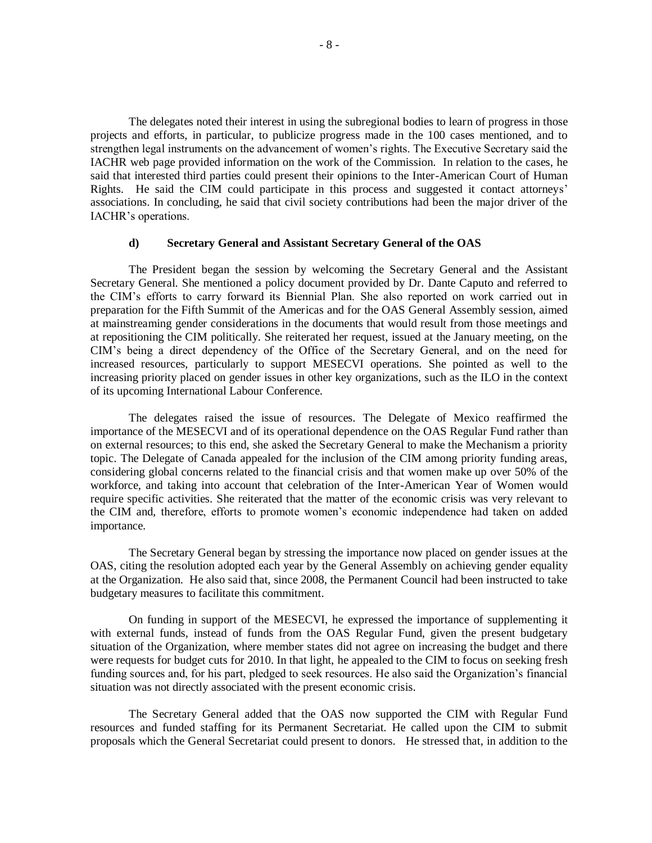The delegates noted their interest in using the subregional bodies to learn of progress in those projects and efforts, in particular, to publicize progress made in the 100 cases mentioned, and to strengthen legal instruments on the advancement of women's rights. The Executive Secretary said the IACHR web page provided information on the work of the Commission. In relation to the cases, he said that interested third parties could present their opinions to the Inter-American Court of Human Rights. He said the CIM could participate in this process and suggested it contact attorneys' associations. In concluding, he said that civil society contributions had been the major driver of the IACHR's operations.

# **d) Secretary General and Assistant Secretary General of the OAS**

The President began the session by welcoming the Secretary General and the Assistant Secretary General. She mentioned a policy document provided by Dr. Dante Caputo and referred to the CIM's efforts to carry forward its Biennial Plan. She also reported on work carried out in preparation for the Fifth Summit of the Americas and for the OAS General Assembly session, aimed at mainstreaming gender considerations in the documents that would result from those meetings and at repositioning the CIM politically. She reiterated her request, issued at the January meeting, on the CIM's being a direct dependency of the Office of the Secretary General, and on the need for increased resources, particularly to support MESECVI operations. She pointed as well to the increasing priority placed on gender issues in other key organizations, such as the ILO in the context of its upcoming International Labour Conference.

The delegates raised the issue of resources. The Delegate of Mexico reaffirmed the importance of the MESECVI and of its operational dependence on the OAS Regular Fund rather than on external resources; to this end, she asked the Secretary General to make the Mechanism a priority topic. The Delegate of Canada appealed for the inclusion of the CIM among priority funding areas, considering global concerns related to the financial crisis and that women make up over 50% of the workforce, and taking into account that celebration of the Inter-American Year of Women would require specific activities. She reiterated that the matter of the economic crisis was very relevant to the CIM and, therefore, efforts to promote women's economic independence had taken on added importance.

The Secretary General began by stressing the importance now placed on gender issues at the OAS, citing the resolution adopted each year by the General Assembly on achieving gender equality at the Organization. He also said that, since 2008, the Permanent Council had been instructed to take budgetary measures to facilitate this commitment.

On funding in support of the MESECVI, he expressed the importance of supplementing it with external funds, instead of funds from the OAS Regular Fund, given the present budgetary situation of the Organization, where member states did not agree on increasing the budget and there were requests for budget cuts for 2010. In that light, he appealed to the CIM to focus on seeking fresh funding sources and, for his part, pledged to seek resources. He also said the Organization's financial situation was not directly associated with the present economic crisis.

The Secretary General added that the OAS now supported the CIM with Regular Fund resources and funded staffing for its Permanent Secretariat. He called upon the CIM to submit proposals which the General Secretariat could present to donors. He stressed that, in addition to the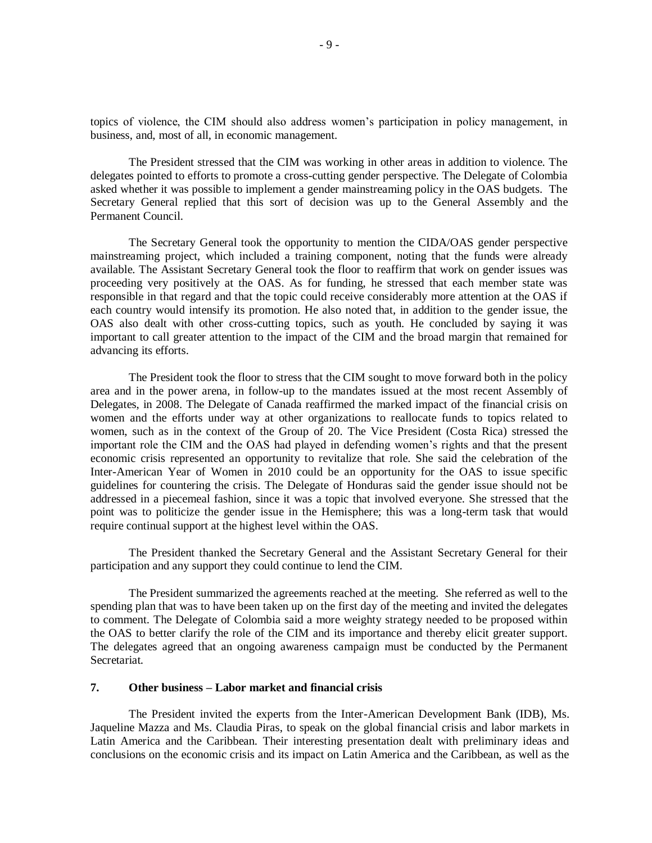topics of violence, the CIM should also address women's participation in policy management, in business, and, most of all, in economic management.

The President stressed that the CIM was working in other areas in addition to violence. The delegates pointed to efforts to promote a cross-cutting gender perspective. The Delegate of Colombia asked whether it was possible to implement a gender mainstreaming policy in the OAS budgets. The Secretary General replied that this sort of decision was up to the General Assembly and the Permanent Council.

The Secretary General took the opportunity to mention the CIDA/OAS gender perspective mainstreaming project, which included a training component, noting that the funds were already available. The Assistant Secretary General took the floor to reaffirm that work on gender issues was proceeding very positively at the OAS. As for funding, he stressed that each member state was responsible in that regard and that the topic could receive considerably more attention at the OAS if each country would intensify its promotion. He also noted that, in addition to the gender issue, the OAS also dealt with other cross-cutting topics, such as youth. He concluded by saying it was important to call greater attention to the impact of the CIM and the broad margin that remained for advancing its efforts.

The President took the floor to stress that the CIM sought to move forward both in the policy area and in the power arena, in follow-up to the mandates issued at the most recent Assembly of Delegates, in 2008. The Delegate of Canada reaffirmed the marked impact of the financial crisis on women and the efforts under way at other organizations to reallocate funds to topics related to women, such as in the context of the Group of 20. The Vice President (Costa Rica) stressed the important role the CIM and the OAS had played in defending women's rights and that the present economic crisis represented an opportunity to revitalize that role. She said the celebration of the Inter-American Year of Women in 2010 could be an opportunity for the OAS to issue specific guidelines for countering the crisis. The Delegate of Honduras said the gender issue should not be addressed in a piecemeal fashion, since it was a topic that involved everyone. She stressed that the point was to politicize the gender issue in the Hemisphere; this was a long-term task that would require continual support at the highest level within the OAS.

The President thanked the Secretary General and the Assistant Secretary General for their participation and any support they could continue to lend the CIM.

The President summarized the agreements reached at the meeting. She referred as well to the spending plan that was to have been taken up on the first day of the meeting and invited the delegates to comment. The Delegate of Colombia said a more weighty strategy needed to be proposed within the OAS to better clarify the role of the CIM and its importance and thereby elicit greater support. The delegates agreed that an ongoing awareness campaign must be conducted by the Permanent Secretariat.

## **7. Other business – Labor market and financial crisis**

The President invited the experts from the Inter-American Development Bank (IDB), Ms. Jaqueline Mazza and Ms. Claudia Piras, to speak on the global financial crisis and labor markets in Latin America and the Caribbean. Their interesting presentation dealt with preliminary ideas and conclusions on the economic crisis and its impact on Latin America and the Caribbean, as well as the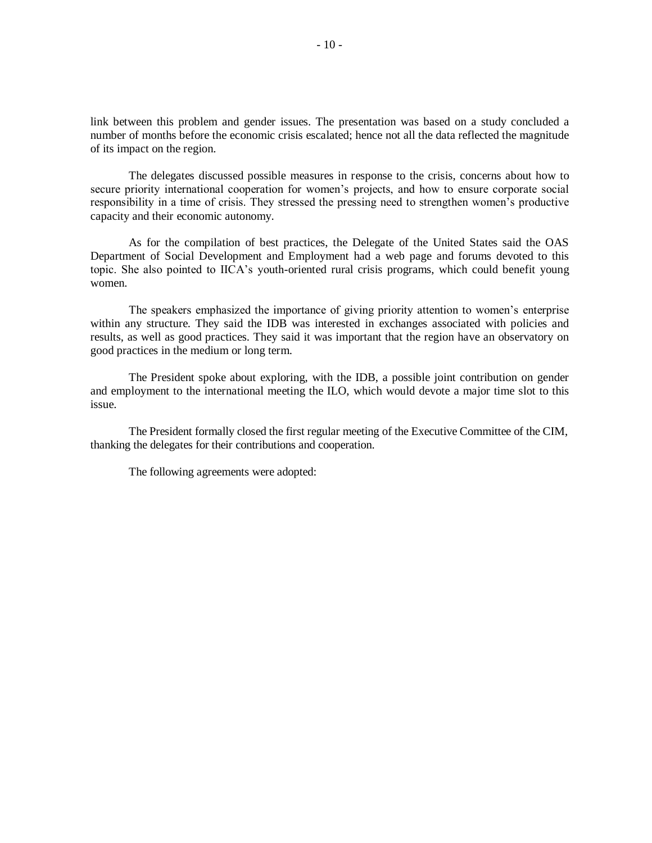link between this problem and gender issues. The presentation was based on a study concluded a number of months before the economic crisis escalated; hence not all the data reflected the magnitude of its impact on the region.

The delegates discussed possible measures in response to the crisis, concerns about how to secure priority international cooperation for women's projects, and how to ensure corporate social responsibility in a time of crisis. They stressed the pressing need to strengthen women's productive capacity and their economic autonomy.

As for the compilation of best practices, the Delegate of the United States said the OAS Department of Social Development and Employment had a web page and forums devoted to this topic. She also pointed to IICA's youth-oriented rural crisis programs, which could benefit young women.

The speakers emphasized the importance of giving priority attention to women's enterprise within any structure. They said the IDB was interested in exchanges associated with policies and results, as well as good practices. They said it was important that the region have an observatory on good practices in the medium or long term.

The President spoke about exploring, with the IDB, a possible joint contribution on gender and employment to the international meeting the ILO, which would devote a major time slot to this issue.

The President formally closed the first regular meeting of the Executive Committee of the CIM, thanking the delegates for their contributions and cooperation.

The following agreements were adopted: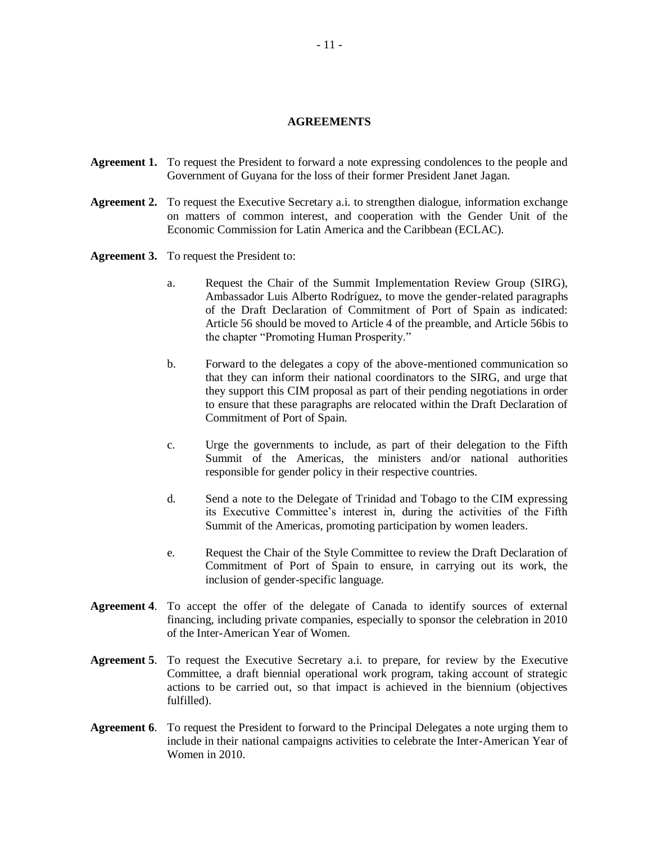### **AGREEMENTS**

- **Agreement 1.** To request the President to forward a note expressing condolences to the people and Government of Guyana for the loss of their former President Janet Jagan.
- **Agreement 2.** To request the Executive Secretary a.i. to strengthen dialogue, information exchange on matters of common interest, and cooperation with the Gender Unit of the Economic Commission for Latin America and the Caribbean (ECLAC).
- **Agreement 3.** To request the President to:
	- a. Request the Chair of the Summit Implementation Review Group (SIRG), Ambassador Luis Alberto Rodríguez, to move the gender-related paragraphs of the Draft Declaration of Commitment of Port of Spain as indicated: Article 56 should be moved to Article 4 of the preamble, and Article 56bis to the chapter "Promoting Human Prosperity."
	- b. Forward to the delegates a copy of the above-mentioned communication so that they can inform their national coordinators to the SIRG, and urge that they support this CIM proposal as part of their pending negotiations in order to ensure that these paragraphs are relocated within the Draft Declaration of Commitment of Port of Spain.
	- c. Urge the governments to include, as part of their delegation to the Fifth Summit of the Americas, the ministers and/or national authorities responsible for gender policy in their respective countries.
	- d. Send a note to the Delegate of Trinidad and Tobago to the CIM expressing its Executive Committee's interest in, during the activities of the Fifth Summit of the Americas, promoting participation by women leaders.
	- e. Request the Chair of the Style Committee to review the Draft Declaration of Commitment of Port of Spain to ensure, in carrying out its work, the inclusion of gender-specific language.
- **Agreement 4**. To accept the offer of the delegate of Canada to identify sources of external financing, including private companies, especially to sponsor the celebration in 2010 of the Inter-American Year of Women.
- **Agreement 5**. To request the Executive Secretary a.i. to prepare, for review by the Executive Committee, a draft biennial operational work program, taking account of strategic actions to be carried out, so that impact is achieved in the biennium (objectives fulfilled).
- **Agreement 6**. To request the President to forward to the Principal Delegates a note urging them to include in their national campaigns activities to celebrate the Inter-American Year of Women in 2010.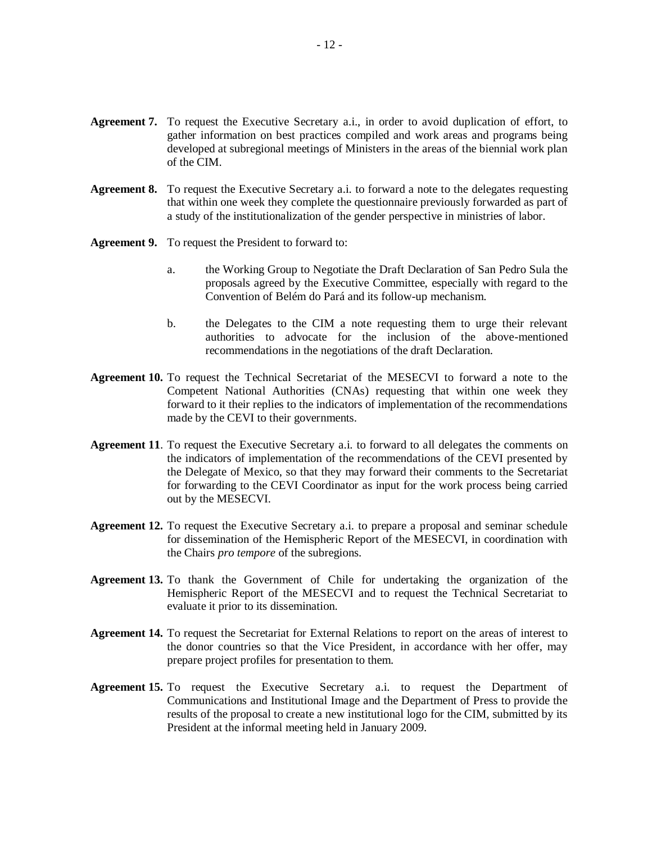- **Agreement 7.** To request the Executive Secretary a.i., in order to avoid duplication of effort, to gather information on best practices compiled and work areas and programs being developed at subregional meetings of Ministers in the areas of the biennial work plan of the CIM.
- **Agreement 8.** To request the Executive Secretary a.i. to forward a note to the delegates requesting that within one week they complete the questionnaire previously forwarded as part of a study of the institutionalization of the gender perspective in ministries of labor.
- **Agreement 9.** To request the President to forward to:
	- a. the Working Group to Negotiate the Draft Declaration of San Pedro Sula the proposals agreed by the Executive Committee, especially with regard to the Convention of Belém do Pará and its follow-up mechanism.
	- b. the Delegates to the CIM a note requesting them to urge their relevant authorities to advocate for the inclusion of the above-mentioned recommendations in the negotiations of the draft Declaration.
- **Agreement 10.** To request the Technical Secretariat of the MESECVI to forward a note to the Competent National Authorities (CNAs) requesting that within one week they forward to it their replies to the indicators of implementation of the recommendations made by the CEVI to their governments.
- **Agreement 11**. To request the Executive Secretary a.i. to forward to all delegates the comments on the indicators of implementation of the recommendations of the CEVI presented by the Delegate of Mexico, so that they may forward their comments to the Secretariat for forwarding to the CEVI Coordinator as input for the work process being carried out by the MESECVI.
- **Agreement 12.** To request the Executive Secretary a.i. to prepare a proposal and seminar schedule for dissemination of the Hemispheric Report of the MESECVI, in coordination with the Chairs *pro tempore* of the subregions.
- **Agreement 13.** To thank the Government of Chile for undertaking the organization of the Hemispheric Report of the MESECVI and to request the Technical Secretariat to evaluate it prior to its dissemination.
- **Agreement 14.** To request the Secretariat for External Relations to report on the areas of interest to the donor countries so that the Vice President, in accordance with her offer, may prepare project profiles for presentation to them.
- **Agreement 15.** To request the Executive Secretary a.i. to request the Department of Communications and Institutional Image and the Department of Press to provide the results of the proposal to create a new institutional logo for the CIM, submitted by its President at the informal meeting held in January 2009.